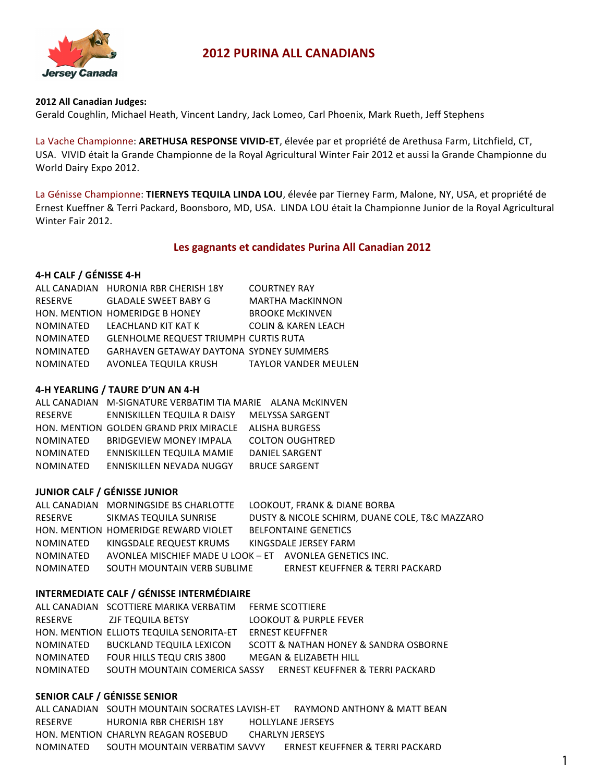

# **2012 PURINA ALL CANADIANS**

#### **2012 All Canadian Judges:**

Gerald Coughlin, Michael Heath, Vincent Landry, Jack Lomeo, Carl Phoenix, Mark Rueth, Jeff Stephens

La Vache Championne: ARETHUSA RESPONSE VIVID-ET, élevée par et propriété de Arethusa Farm, Litchfield, CT, USA. VIVID était la Grande Championne de la Royal Agricultural Winter Fair 2012 et aussi la Grande Championne du World Dairy Expo 2012.

La Génisse Championne: TIERNEYS TEQUILA LINDA LOU, élevée par Tierney Farm, Malone, NY, USA, et propriété de Ernest Kueffner & Terri Packard, Boonsboro, MD, USA. LINDA LOU était la Championne Junior de la Royal Agricultural Winter Fair 2012.

# Les gagnants et candidates Purina All Canadian 2012

## **4-H CALF / GÉNISSE 4-H**

|                  | ALL CANADIAN HURONIA RBR CHERISH 18Y           | <b>COURTNEY RAY</b>            |
|------------------|------------------------------------------------|--------------------------------|
| <b>RESERVE</b>   | <b>GLADALE SWEET BABY G</b>                    | <b>MARTHA MacKINNON</b>        |
|                  | HON. MENTION HOMERIDGE B HONEY                 | <b>BROOKE MCKINVEN</b>         |
| <b>NOMINATED</b> | LEACHLAND KIT KAT K                            | <b>COLIN &amp; KAREN LEACH</b> |
| <b>NOMINATED</b> | <b>GLENHOLME REQUEST TRIUMPH CURTIS RUTA</b>   |                                |
| <b>NOMINATED</b> | <b>GARHAVEN GETAWAY DAYTONA SYDNEY SUMMERS</b> |                                |
| <b>NOMINATED</b> | AVONLEA TEQUILA KRUSH                          | <b>TAYLOR VANDER MEULEN</b>    |

## **4-H YEARLING / TAURE D'UN AN 4-H**

|           | ALL CANADIAN M-SIGNATURE VERBATIM TIA MARIE ALANA MCKINVEN |                        |
|-----------|------------------------------------------------------------|------------------------|
| RESERVE   | ENNISKILLEN TEQUILA R DAISY                                | <b>MELYSSA SARGENT</b> |
|           | HON. MENTION GOLDEN GRAND PRIX MIRACLE                     | <b>ALISHA BURGESS</b>  |
| NOMINATED | <b>BRIDGEVIEW MONEY IMPALA</b>                             | <b>COLTON OUGHTRED</b> |
| NOMINATED | ENNISKILLEN TEQUILA MAMIE                                  | <b>DANIEL SARGENT</b>  |
| NOMINATED | ENNISKILLEN NEVADA NUGGY                                   | <b>BRUCE SARGENT</b>   |

# **JUNIOR CALF / GÉNISSE JUNIOR**

|           | ALL CANADIAN MORNINGSIDE BS CHARLOTTE                   | LOOKOUT, FRANK & DIANE BORBA                   |
|-----------|---------------------------------------------------------|------------------------------------------------|
| RESERVE   | SIKMAS TEQUILA SUNRISE                                  | DUSTY & NICOLE SCHIRM, DUANE COLE, T&C MAZZARO |
|           | HON, MENTION HOMERIDGE REWARD VIOLET                    | <b>BELFONTAINE GENETICS</b>                    |
| NOMINATED | KINGSDALE REQUEST KRUMS                                 | KINGSDALE JERSEY FARM                          |
| NOMINATED | AVONLEA MISCHIEF MADE U LOOK - ET AVONLEA GENETICS INC. |                                                |
| NOMINATED | SOUTH MOUNTAIN VERB SUBLIME                             | <b>ERNEST KEUFFNER &amp; TERRI PACKARD</b>     |
|           |                                                         |                                                |

# **INTERMEDIATE CALF / GÉNISSE INTERMÉDIAIRE**

|                  | ALL CANADIAN SCOTTIERE MARIKA VERBATIM   | <b>FERME SCOTTIERE</b>                |
|------------------|------------------------------------------|---------------------------------------|
| RESERVE          | ZJF TEQUILA BETSY                        | <b>LOOKOUT &amp; PURPLE FEVER</b>     |
|                  | HON, MENTION ELLIOTS TEQUILA SENORITA-ET | <b>ERNEST KEUFFNER</b>                |
| NOMINATED        | <b>BUCKLAND TEQUILA LEXICON</b>          | SCOTT & NATHAN HONEY & SANDRA OSBORNE |
| NOMINATED        | FOUR HILLS TEQU CRIS 3800                | MEGAN & ELIZABETH HILL                |
| <b>NOMINATED</b> | SOUTH MOUNTAIN COMERICA SASSY            | ERNEST KEUFFNER & TERRI PACKARD       |

## **SENIOR CALF / GÉNISSE SENIOR**

ALL CANADIAN SOUTH MOUNTAIN SOCRATES LAVISH-ET RAYMOND ANTHONY & MATT BEAN RESERVE HURONIA RBR CHERISH 18Y HOLLYLANE JERSEYS HON. MENTION CHARLYN REAGAN ROSEBUD CHARLYN JERSEYS NOMINATED SOUTH'MOUNTAIN'VERBATIM'SAVVY ERNEST'KEUFFNER'&'TERRI PACKARD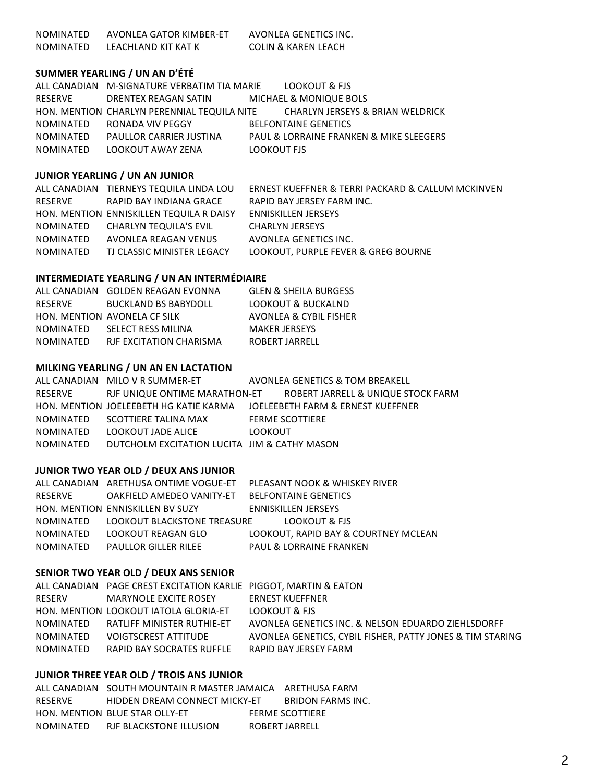NOMINATED AVONLEA GATOR KIMBER-ET AVONLEA GENETICS INC. NOMINATED LEACHLAND KIT KAT K COLIN & KAREN LEACH

## **SUMMER YEARLING / UN AN D'ÉTÉ**

|                  | ALL CANADIAN M-SIGNATURE VERBATIM TIA MARIE | <b>LOOKOUT &amp; FJS</b>                |
|------------------|---------------------------------------------|-----------------------------------------|
| RESERVE          | DRENTEX REAGAN SATIN                        | MICHAEL & MONIQUE BOLS                  |
|                  | HON, MENTION CHARLYN PERENNIAL TEQUILA NITE | CHARLYN JERSEYS & BRIAN WELDRICK        |
| <b>NOMINATED</b> | RONADA VIV PEGGY                            | <b>BELFONTAINE GENETICS</b>             |
| <b>NOMINATED</b> | PAULLOR CARRIER JUSTINA                     | PAUL & LORRAINE FRANKEN & MIKE SLEEGERS |
| <b>NOMINATED</b> | LOOKOUT AWAY ZENA                           | LOOKOUT FJS                             |

## **JUNIOR YEARLING / UN AN JUNIOR**

ALL CANADIAN TIERNEYS TEQUILA LINDA LOU ERNEST KUEFFNER & TERRI PACKARD & CALLUM MCKINVEN RESERVE RAPID BAY INDIANA GRACE RAPID BAY JERSEY FARM INC. HON. MENTION ENNISKILLEN TEQUILA R DAISY ENNISKILLEN JERSEYS NOMINATED CHARLYN TEQUILA'S EVIL CHARLYN JERSEYS NOMINATED AVONLEA REAGAN VENUS AVONLEA GENETICS INC. NOMINATED TJ CLASSIC MINISTER LEGACY LOOKOUT, PURPLE FEVER & GREG BOURNE

## **INTERMEDIATE YEARLING / UN AN INTERMÉDIAIRE**

|                  | ALL CANADIAN GOLDEN REAGAN EVONNA | <b>GLEN &amp; SHEILA BURGESS</b> |
|------------------|-----------------------------------|----------------------------------|
| RESERVE          | BUCKLAND BS BABYDOLL              | LOOKOUT & BUCKALND               |
|                  | HON. MENTION AVONELA CF SILK      | AVONLEA & CYBIL FISHER           |
| NOMINATED        | SELECT RESS MILINA                | <b>MAKER JERSEYS</b>             |
| <b>NOMINATED</b> | RJF EXCITATION CHARISMA           | ROBERT JARRELL                   |

### **MILKING YEARLING / UN AN EN LACTATION**

ALL CANADIAN MILO V R SUMMER-ET AVONLEA GENETICS & TOM BREAKELL RESERVE RJF UNIQUE ONTIME MARATHON-ET ROBERT JARRELL & UNIQUE STOCK FARM HON. MENTION JOELEEBETH HG KATIE KARMA JOELEEBETH FARM & ERNEST KUEFFNER NOMINATED SCOTTIERE TALINA MAX FERME SCOTTIERE NOMINATED LOOKOUT JADE ALICE LOOKOUT NOMINATED DUTCHOLM EXCITATION LUCITA JIM & CATHY MASON

### **JUNIOR TWO YEAR OLD / DEUX ANS JUNIOR**

|                  | ALL CANADIAN ARETHUSA ONTIME VOGUE-ET | PLEASANT NOOK & WHISKEY RIVER        |
|------------------|---------------------------------------|--------------------------------------|
| RESERVE          | OAKFIELD AMEDEO VANITY-ET             | <b>BELFONTAINE GENETICS</b>          |
|                  | HON. MENTION ENNISKILLEN BV SUZY      | <b>ENNISKILLEN JERSEYS</b>           |
|                  | NOMINATED LOOKOUT BLACKSTONE TREASURE | LOOKOUT & FJS                        |
| <b>NOMINATED</b> | LOOKOUT REAGAN GLO                    | LOOKOUT. RAPID BAY & COURTNEY MCLEAN |
| NOMINATED        | <b>PAULLOR GILLER RILEE</b>           | <b>PAUL &amp; LORRAINE FRANKEN</b>   |

# **SENIOR TWO YEAR OLD / DEUX ANS SENIOR**

|           | ALL CANADIAN PAGE CREST EXCITATION KARLIE PIGGOT, MARTIN & EATON |                                                           |
|-----------|------------------------------------------------------------------|-----------------------------------------------------------|
| RESERV    | MARYNOLE EXCITE ROSEY                                            | <b>ERNEST KUEFFNER</b>                                    |
|           | HON, MENTION LOOKOUT IATOLA GLORIA-ET                            | LOOKOUT & FJS                                             |
| NOMINATED | RATLIFF MINISTER RUTHIE-ET                                       | AVONLEA GENETICS INC. & NELSON EDUARDO ZIEHLSDORFF        |
| NOMINATED | <b>VOIGTSCREST ATTITUDE</b>                                      | AVONLEA GENETICS, CYBIL FISHER, PATTY JONES & TIM STARING |
| NOMINATED | RAPID BAY SOCRATES RUFFLE                                        | RAPID BAY JERSEY FARM                                     |

# **JUNIOR THREE YEAR OLD / TROIS ANS JUNIOR**

ALL CANADIAN SOUTH MOUNTAIN R MASTER JAMAICA ARETHUSA FARM RESERVE HIDDEN DREAM CONNECT MICKY-ET BRIDON FARMS INC. HON. MENTION BLUE STAR OLLY-ET FERME SCOTTIERE NOMINATED RJF'BLACKSTONE'ILLUSION ROBERT'JARRELL